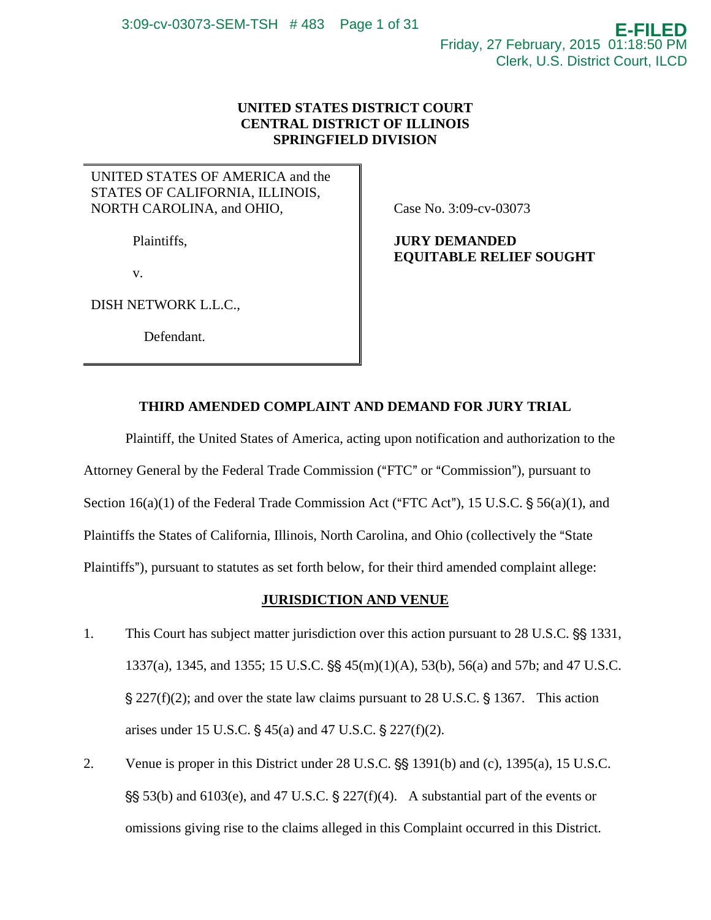# **UNITED STATES DISTRICT COURT CENTRAL DISTRICT OF ILLINOIS SPRINGFIELD DIVISION**

# UNITED STATES OF AMERICA and the STATES OF CALIFORNIA, ILLINOIS, NORTH CAROLINA, and OHIO,

Plaintiffs,

v.

DISH NETWORK L.L.C.,

Defendant.

Case No. 3:09-cv-03073

# **JURY DEMANDED EQUITABLE RELIEF SOUGHT**

# **THIRD AMENDED COMPLAINT AND DEMAND FOR JURY TRIAL**

Plaintiff, the United States of America, acting upon notification and authorization to the Attorney General by the Federal Trade Commission ("FTC" or "Commission"), pursuant to Section  $16(a)(1)$  of the Federal Trade Commission Act ("FTC Act"), 15 U.S.C.  $\S$  56(a)(1), and Plaintiffs the States of California, Illinois, North Carolina, and Ohio (collectively the "State Plaintiffs"), pursuant to statutes as set forth below, for their third amended complaint allege:

# **JURISDICTION AND VENUE**

- 1. This Court has subject matter jurisdiction over this action pursuant to 28 U.S.C.  $\S$ § 1331, 1337(a), 1345, and 1355; 15 U.S.C.  $\frac{65}{5}$  45(m)(1)(A), 53(b), 56(a) and 57b; and 47 U.S.C.  $\frac{1}{2}$  227(f)(2); and over the state law claims pursuant to 28 U.S.C.  $\frac{1}{2}$  1367. This action arises under 15 U.S.C.  $\S 45(a)$  and 47 U.S.C.  $\S 227(f)(2)$ .
- 2. Venue is proper in this District under  $28 \text{ U.S.C.}$   $\frac{65}{1391}$  (b) and (c), 1395(a), 15 U.S.C.  $\S$ § 53(b) and 6103(e), and 47 U.S.C. § 227(f)(4). A substantial part of the events or omissions giving rise to the claims alleged in this Complaint occurred in this District.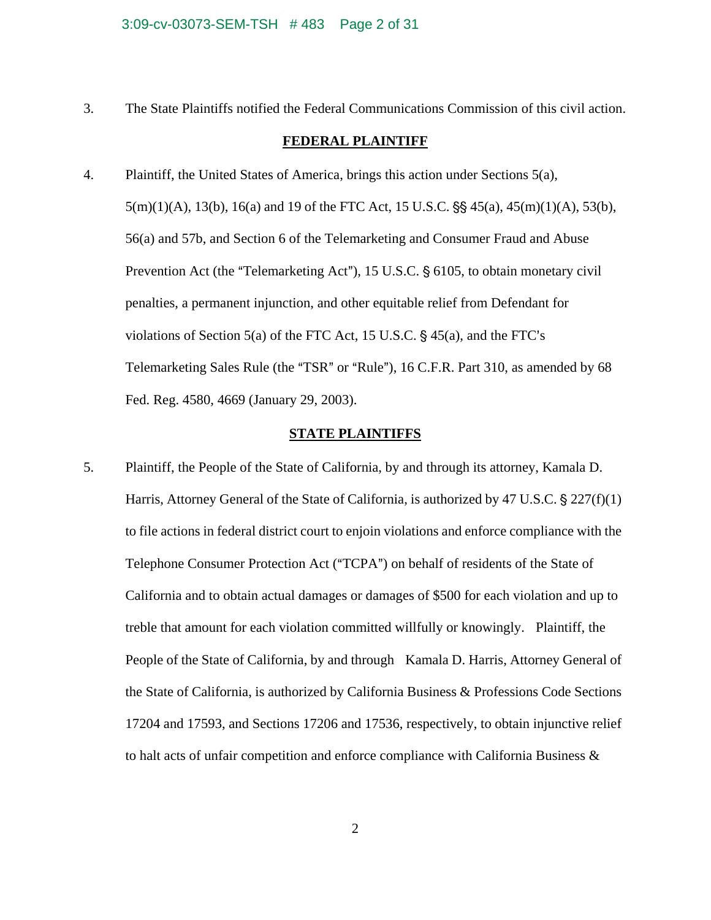#### 3:09-cv-03073-SEM-TSH # 483 Page 2 of 31

3. The State Plaintiffs notified the Federal Communications Commission of this civil action.

# **FEDERAL PLAINTIFF**

4. Plaintiff, the United States of America, brings this action under Sections 5(a),  $5(m)(1)(A)$ ,  $13(b)$ ,  $16(a)$  and 19 of the FTC Act, 15 U.S.C.  $\S$ § 45(a), 45(m)(1)(A), 53(b), 56(a) and 57b, and Section 6 of the Telemarketing and Consumer Fraud and Abuse Prevention Act (the "Telemarketing Act"), 15 U.S.C.  $\S$  6105, to obtain monetary civil penalties, a permanent injunction, and other equitable relief from Defendant for violations of Section  $5(a)$  of the FTC Act, 15 U.S.C. § 45 $(a)$ , and the FTC's Telemarketing Sales Rule (the "TSR" or "Rule"), 16 C.F.R. Part 310, as amended by 68 Fed. Reg. 4580, 4669 (January 29, 2003).

## **STATE PLAINTIFFS**

5. Plaintiff, the People of the State of California, by and through its attorney, Kamala D. Harris, Attorney General of the State of California, is authorized by 47 U.S.C.  $\S 227(f)(1)$ to file actions in federal district court to enjoin violations and enforce compliance with the Telephone Consumer Protection Act ("TCPA") on behalf of residents of the State of California and to obtain actual damages or damages of \$500 for each violation and up to treble that amount for each violation committed willfully or knowingly. Plaintiff, the People of the State of California, by and through Kamala D. Harris, Attorney General of the State of California, is authorized by California Business & Professions Code Sections 17204 and 17593, and Sections 17206 and 17536, respectively, to obtain injunctive relief to halt acts of unfair competition and enforce compliance with California Business  $\&$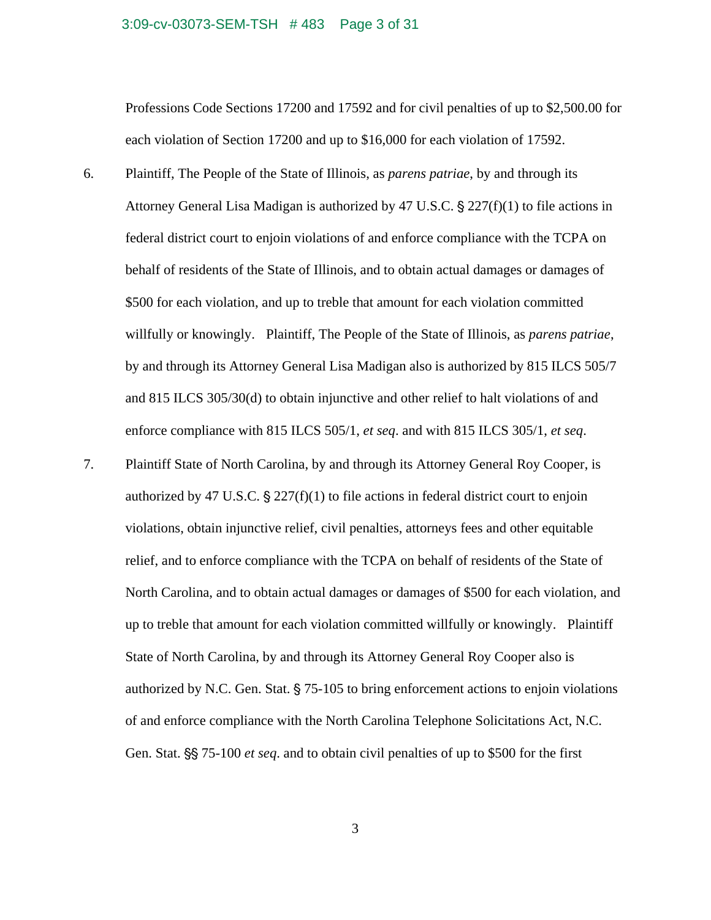#### 3:09-cv-03073-SEM-TSH # 483 Page 3 of 31

Professions Code Sections 17200 and 17592 and for civil penalties of up to \$2,500.00 for each violation of Section 17200 and up to \$16,000 for each violation of 17592.

6. Plaintiff, The People of the State of Illinois, as *parens patriae*, by and through its Attorney General Lisa Madigan is authorized by 47 U.S.C.  $\S 227(f)(1)$  to file actions in federal district court to enjoin violations of and enforce compliance with the TCPA on behalf of residents of the State of Illinois, and to obtain actual damages or damages of \$500 for each violation, and up to treble that amount for each violation committed willfully or knowingly. Plaintiff, The People of the State of Illinois, as *parens patriae*, by and through its Attorney General Lisa Madigan also is authorized by 815 ILCS 505/7 and 815 ILCS 305/30(d) to obtain injunctive and other relief to halt violations of and enforce compliance with 815 ILCS 505/1, *et seq*. and with 815 ILCS 305/1, *et seq*.

7. Plaintiff State of North Carolina, by and through its Attorney General Roy Cooper, is authorized by 47 U.S.C.  $\frac{6}{5}$  227(f)(1) to file actions in federal district court to enjoin violations, obtain injunctive relief, civil penalties, attorneys fees and other equitable relief, and to enforce compliance with the TCPA on behalf of residents of the State of North Carolina, and to obtain actual damages or damages of \$500 for each violation, and up to treble that amount for each violation committed willfully or knowingly. Plaintiff State of North Carolina, by and through its Attorney General Roy Cooper also is authorized by N.C. Gen. Stat.  $\S$  75-105 to bring enforcement actions to enjoin violations of and enforce compliance with the North Carolina Telephone Solicitations Act, N.C. Gen. Stat. §§ 75-100 *et seq*. and to obtain civil penalties of up to \$500 for the first

3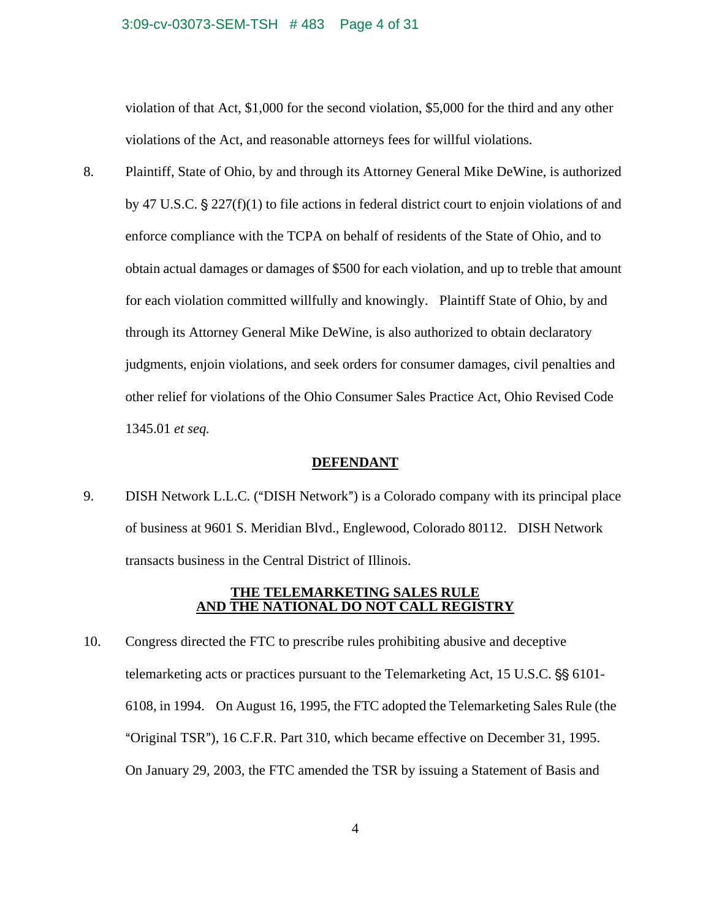#### 3:09-cv-03073-SEM-TSH # 483 Page 4 of 31

violation of that Act, \$1,000 for the second violation, \$5,000 for the third and any other violations of the Act, and reasonable attorneys fees for willful violations.

8. Plaintiff, State of Ohio, by and through its Attorney General Mike DeWine, is authorized by 47 U.S.C.  $\frac{1}{2}$  227(f)(1) to file actions in federal district court to enjoin violations of and enforce compliance with the TCPA on behalf of residents of the State of Ohio, and to obtain actual damages or damages of \$500 for each violation, and up to treble that amount for each violation committed willfully and knowingly. Plaintiff State of Ohio, by and through its Attorney General Mike DeWine, is also authorized to obtain declaratory judgments, enjoin violations, and seek orders for consumer damages, civil penalties and other relief for violations of the Ohio Consumer Sales Practice Act, Ohio Revised Code 1345.01 *et seq.*

#### **DEFENDANT**

9. DISH Network L.L.C. ("DISH Network") is a Colorado company with its principal place of business at 9601 S. Meridian Blvd., Englewood, Colorado 80112. DISH Network transacts business in the Central District of Illinois.

## **THE TELEMARKETING SALES RULE AND THE NATIONAL DO NOT CALL REGISTRY**

10. Congress directed the FTC to prescribe rules prohibiting abusive and deceptive telemarketing acts or practices pursuant to the Telemarketing Act,  $15 \text{ U.S.C.}$   $\S$  $\S$   $6101$ -6108, in 1994. On August 16, 1995, the FTC adopted the Telemarketing Sales Rule (the "Original TSR"), 16 C.F.R. Part 310, which became effective on December 31, 1995. On January 29, 2003, the FTC amended the TSR by issuing a Statement of Basis and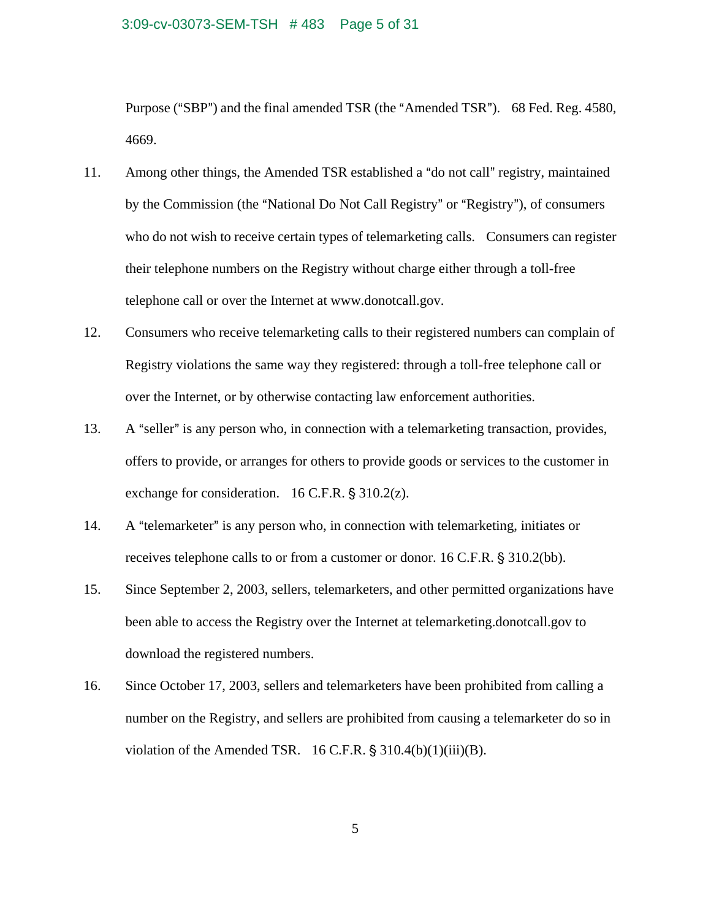#### 3:09-cv-03073-SEM-TSH # 483 Page 5 of 31

Purpose ("SBP") and the final amended TSR (the "Amended TSR"). 68 Fed. Reg. 4580, 4669.

- 11. Among other things, the Amended TSR established a "do not call" registry, maintained by the Commission (the "National Do Not Call Registry" or "Registry"), of consumers who do not wish to receive certain types of telemarketing calls. Consumers can register their telephone numbers on the Registry without charge either through a toll-free telephone call or over the Internet at www.donotcall.gov.
- 12. Consumers who receive telemarketing calls to their registered numbers can complain of Registry violations the same way they registered: through a toll-free telephone call or over the Internet, or by otherwise contacting law enforcement authorities.
- 13. A "seller" is any person who, in connection with a telemarketing transaction, provides, offers to provide, or arranges for others to provide goods or services to the customer in exchange for consideration.  $16$  C.F.R. § 310.2(z).
- 14. A "telemarketer" is any person who, in connection with telemarketing, initiates or receives telephone calls to or from a customer or donor.  $16$  C.F.R.  $\frac{6}{5}$  310.2(bb).
- 15. Since September 2, 2003, sellers, telemarketers, and other permitted organizations have been able to access the Registry over the Internet at telemarketing.donotcall.gov to download the registered numbers.
- 16. Since October 17, 2003, sellers and telemarketers have been prohibited from calling a number on the Registry, and sellers are prohibited from causing a telemarketer do so in violation of the Amended TSR.  $16$  C.F.R. § 310.4(b)(1)(iii)(B).

5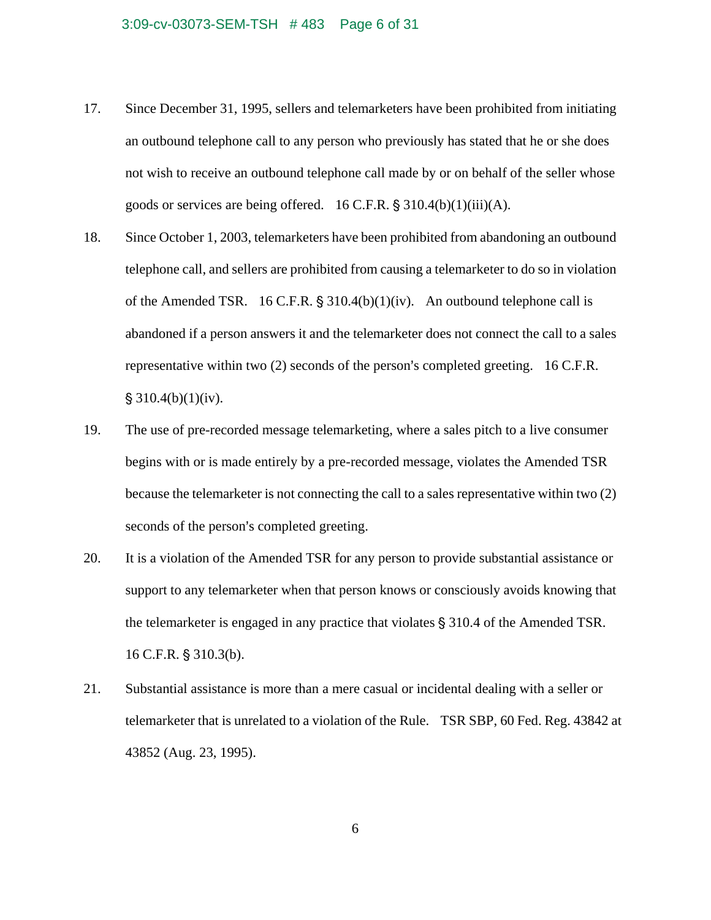- 17. Since December 31, 1995, sellers and telemarketers have been prohibited from initiating an outbound telephone call to any person who previously has stated that he or she does not wish to receive an outbound telephone call made by or on behalf of the seller whose goods or services are being offered.  $16$  C.F.R.  $\S$  310.4(b)(1)(iii)(A).
- 18. Since October 1, 2003, telemarketers have been prohibited from abandoning an outbound telephone call, and sellers are prohibited from causing a telemarketer to do so in violation of the Amended TSR. 16 C.F.R.  $\S 310.4(b)(1)(iv)$ . An outbound telephone call is abandoned if a person answers it and the telemarketer does not connect the call to a sales representative within two  $(2)$  seconds of the person's completed greeting. 16 C.F.R.  $$310.4(b)(1)(iv).$
- 19. The use of pre-recorded message telemarketing, where a sales pitch to a live consumer begins with or is made entirely by a pre-recorded message, violates the Amended TSR because the telemarketer is not connecting the call to a sales representative within two (2) seconds of the person's completed greeting.
- 20. It is a violation of the Amended TSR for any person to provide substantial assistance or support to any telemarketer when that person knows or consciously avoids knowing that the telemarketer is engaged in any practice that violates  $\S$  310.4 of the Amended TSR.  $16$  C.F.R. § 310.3(b).
- 21. Substantial assistance is more than a mere casual or incidental dealing with a seller or telemarketer that is unrelated to a violation of the Rule. TSR SBP, 60 Fed. Reg. 43842 at 43852 (Aug. 23, 1995).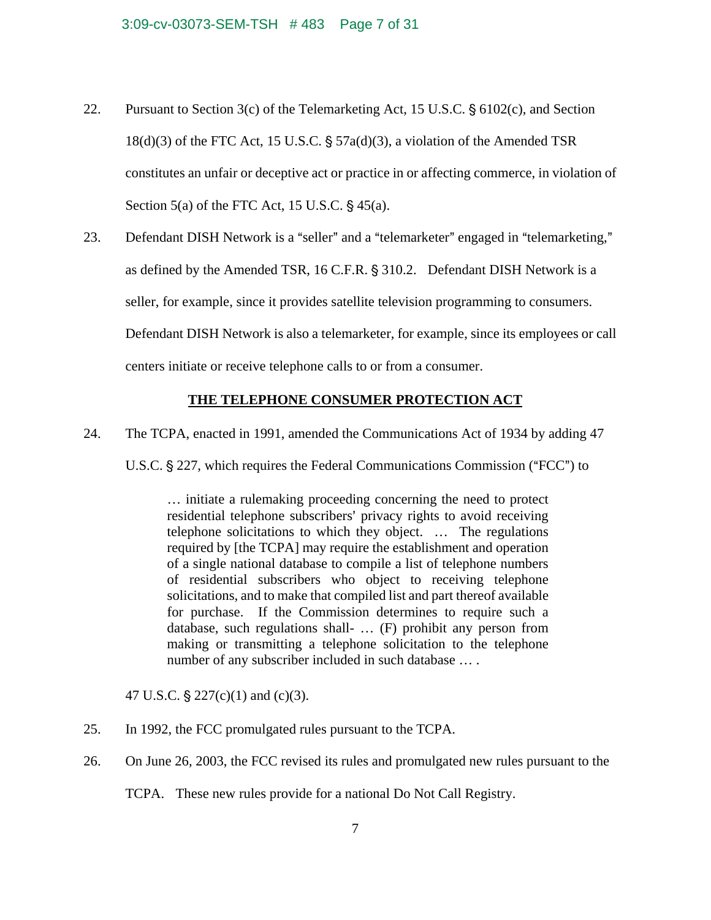- 22. Pursuant to Section  $3(c)$  of the Telemarketing Act, 15 U.S.C. § 6102(c), and Section  $18(d)(3)$  of the FTC Act, 15 U.S.C. §  $57a(d)(3)$ , a violation of the Amended TSR constitutes an unfair or deceptive act or practice in or affecting commerce, in violation of Section  $5(a)$  of the FTC Act, 15 U.S.C.  $\S$  45(a).
- 23. Defendant DISH Network is a "seller" and a "telemarketer" engaged in "telemarketing," as defined by the Amended TSR,  $16$  C.F.R.  $\S$  310.2. Defendant DISH Network is a seller, for example, since it provides satellite television programming to consumers. Defendant DISH Network is also a telemarketer, for example, since its employees or call centers initiate or receive telephone calls to or from a consumer.

# **THE TELEPHONE CONSUMER PROTECTION ACT**

24. The TCPA, enacted in 1991, amended the Communications Act of 1934 by adding 47

U.S.C. § 227, which requires the Federal Communications Commission ("FCC") to

… initiate a rulemaking proceeding concerning the need to protect residential telephone subscribers' privacy rights to avoid receiving telephone solicitations to which they object. … The regulations required by [the TCPA] may require the establishment and operation of a single national database to compile a list of telephone numbers of residential subscribers who object to receiving telephone solicitations, and to make that compiled list and part thereof available for purchase. If the Commission determines to require such a database, such regulations shall- … (F) prohibit any person from making or transmitting a telephone solicitation to the telephone number of any subscriber included in such database … .

47 U.S.C.  $\S 227(c)(1)$  and (c)(3).

- 25. In 1992, the FCC promulgated rules pursuant to the TCPA.
- 26. On June 26, 2003, the FCC revised its rules and promulgated new rules pursuant to the

TCPA. These new rules provide for a national Do Not Call Registry.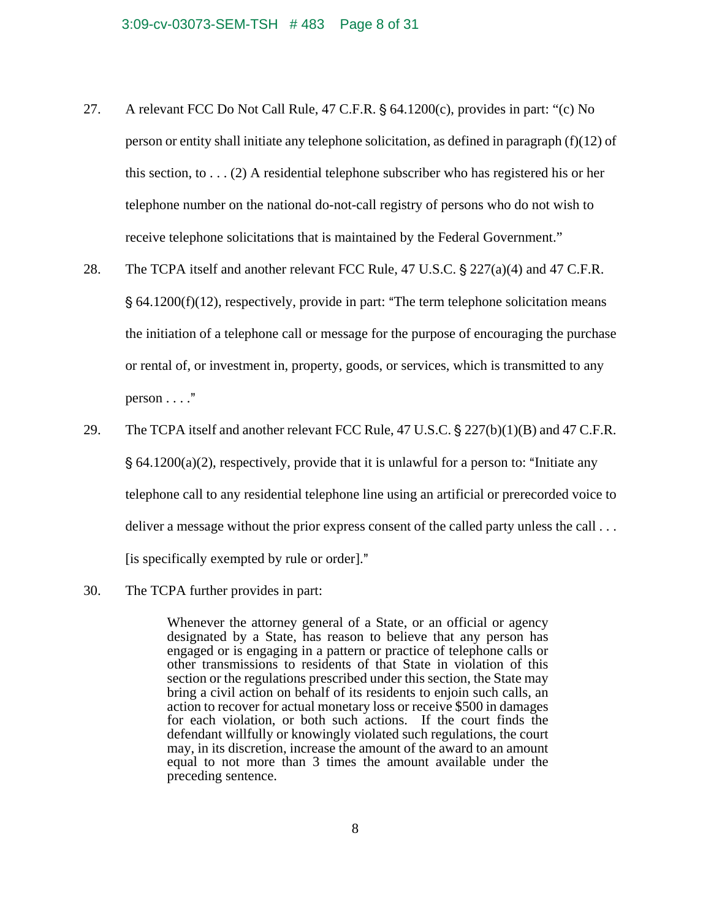- 27. A relevant FCC Do Not Call Rule, 47 C.F.R.  $\S$  64.1200(c), provides in part: "(c) No person or entity shall initiate any telephone solicitation, as defined in paragraph  $(f)(12)$  of this section, to  $\dots$  (2) A residential telephone subscriber who has registered his or her telephone number on the national do-not-call registry of persons who do not wish to receive telephone solicitations that is maintained by the Federal Government."
- 28. The TCPA itself and another relevant FCC Rule, 47 U.S.C.  $\S 227(a)(4)$  and 47 C.F.R.  $\S$  64.1200(f)(12), respectively, provide in part: "The term telephone solicitation means the initiation of a telephone call or message for the purpose of encouraging the purchase or rental of, or investment in, property, goods, or services, which is transmitted to any person  $\dots$ ."
- 29. The TCPA itself and another relevant FCC Rule,  $47 \text{ U.S.C.}$  \$ 227(b)(1)(B) and  $47 \text{ C.F.R.}$  $\S$  64.1200(a)(2), respectively, provide that it is unlawful for a person to: "Initiate any telephone call to any residential telephone line using an artificial or prerecorded voice to deliver a message without the prior express consent of the called party unless the call ... [is specifically exempted by rule or order]."
- 30. The TCPA further provides in part:

Whenever the attorney general of a State, or an official or agency designated by a State, has reason to believe that any person has engaged or is engaging in a pattern or practice of telephone calls or other transmissions to residents of that State in violation of this section or the regulations prescribed under this section, the State may bring a civil action on behalf of its residents to enjoin such calls, an action to recover for actual monetary loss or receive \$500 in damages for each violation, or both such actions. If the court finds the defendant willfully or knowingly violated such regulations, the court may, in its discretion, increase the amount of the award to an amount equal to not more than 3 times the amount available under the preceding sentence.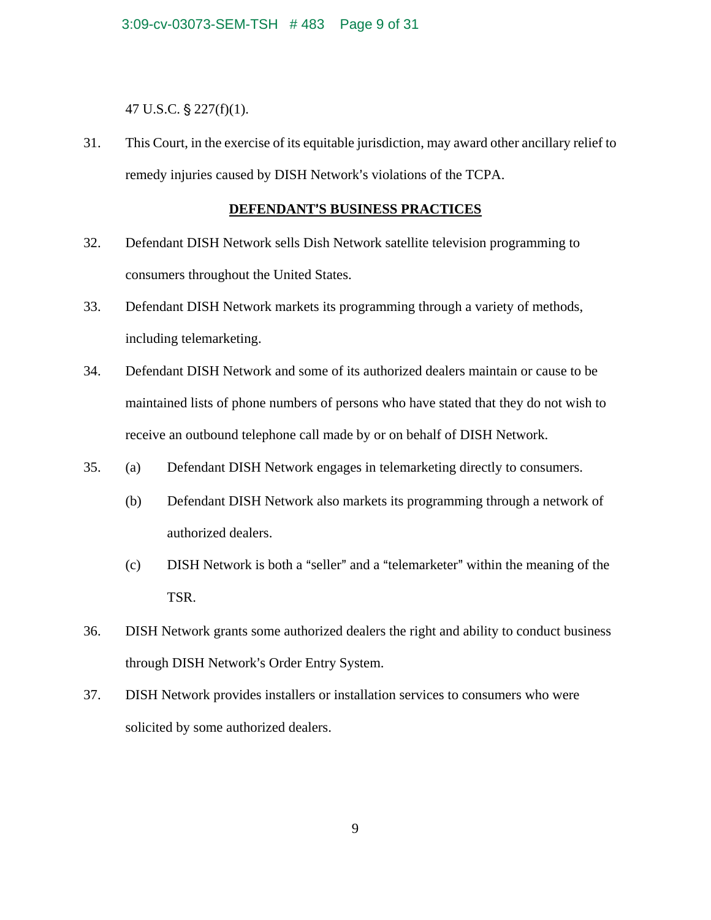47 U.S.C.  $\S$  227(f)(1).

31. This Court, in the exercise of its equitable jurisdiction, may award other ancillary relief to remedy injuries caused by DISH Network's violations of the TCPA.

# **DEFENDANT'S BUSINESS PRACTICES**

- 32. Defendant DISH Network sells Dish Network satellite television programming to consumers throughout the United States.
- 33. Defendant DISH Network markets its programming through a variety of methods, including telemarketing.
- 34. Defendant DISH Network and some of its authorized dealers maintain or cause to be maintained lists of phone numbers of persons who have stated that they do not wish to receive an outbound telephone call made by or on behalf of DISH Network.
- 35. (a) Defendant DISH Network engages in telemarketing directly to consumers.
	- (b) Defendant DISH Network also markets its programming through a network of authorized dealers.
	- $(c)$  DISH Network is both a "seller" and a "telemarketer" within the meaning of the TSR.
- 36. DISH Network grants some authorized dealers the right and ability to conduct business through DISH Network's Order Entry System.
- 37. DISH Network provides installers or installation services to consumers who were solicited by some authorized dealers.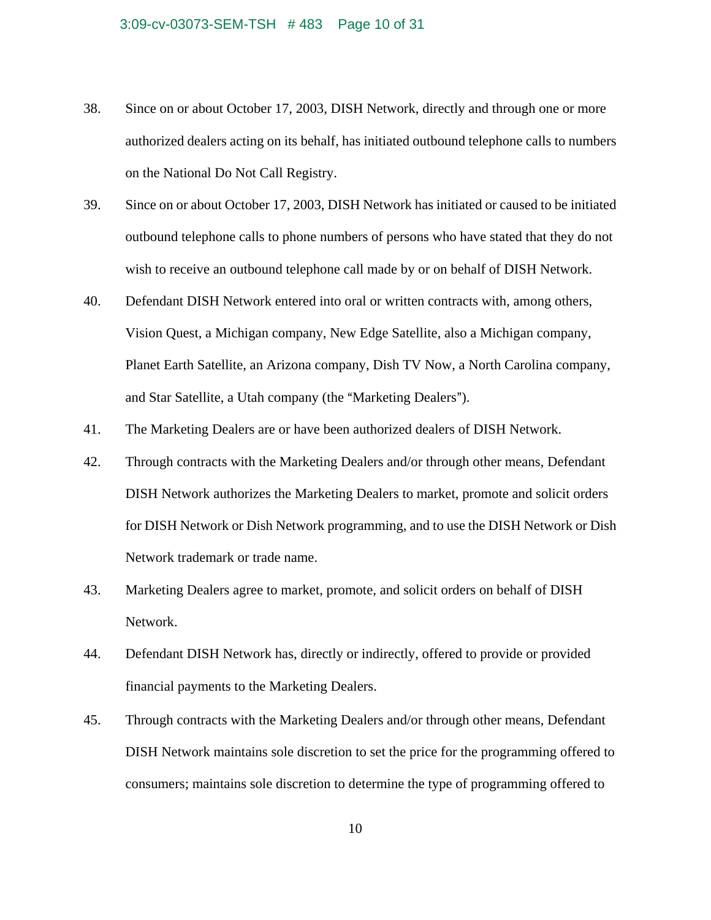#### 3:09-cv-03073-SEM-TSH # 483 Page 10 of 31

- 38. Since on or about October 17, 2003, DISH Network, directly and through one or more authorized dealers acting on its behalf, has initiated outbound telephone calls to numbers on the National Do Not Call Registry.
- 39. Since on or about October 17, 2003, DISH Network has initiated or caused to be initiated outbound telephone calls to phone numbers of persons who have stated that they do not wish to receive an outbound telephone call made by or on behalf of DISH Network.
- 40. Defendant DISH Network entered into oral or written contracts with, among others, Vision Quest, a Michigan company, New Edge Satellite, also a Michigan company, Planet Earth Satellite, an Arizona company, Dish TV Now, a North Carolina company, and Star Satellite, a Utah company (the "Marketing Dealers").
- 41. The Marketing Dealers are or have been authorized dealers of DISH Network.
- 42. Through contracts with the Marketing Dealers and/or through other means, Defendant DISH Network authorizes the Marketing Dealers to market, promote and solicit orders for DISH Network or Dish Network programming, and to use the DISH Network or Dish Network trademark or trade name.
- 43. Marketing Dealers agree to market, promote, and solicit orders on behalf of DISH Network.
- 44. Defendant DISH Network has, directly or indirectly, offered to provide or provided financial payments to the Marketing Dealers.
- 45. Through contracts with the Marketing Dealers and/or through other means, Defendant DISH Network maintains sole discretion to set the price for the programming offered to consumers; maintains sole discretion to determine the type of programming offered to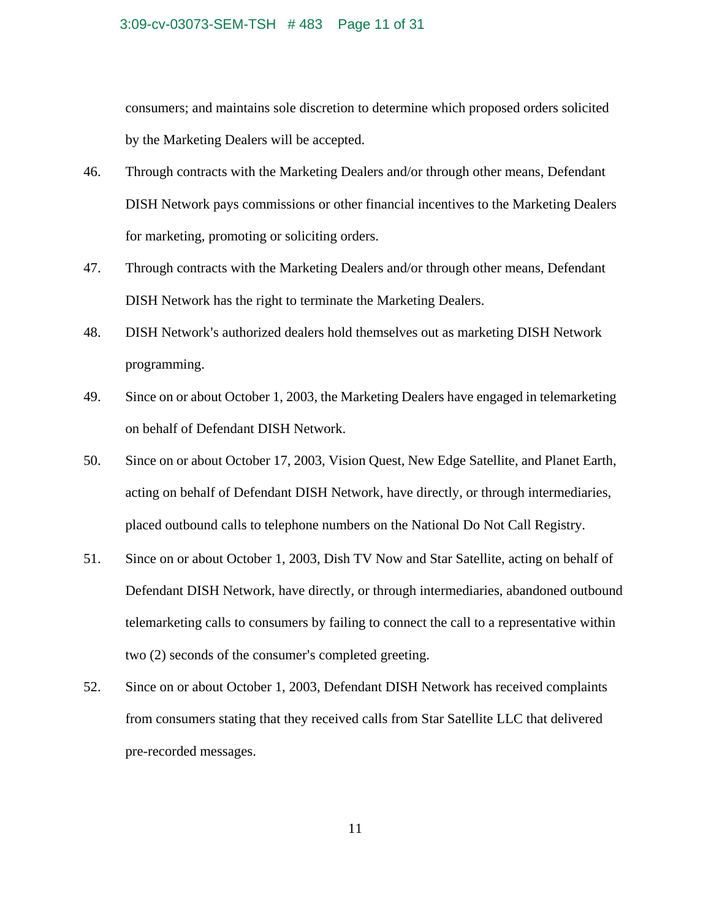#### 3:09-cv-03073-SEM-TSH # 483 Page 11 of 31

consumers; and maintains sole discretion to determine which proposed orders solicited by the Marketing Dealers will be accepted.

- 46. Through contracts with the Marketing Dealers and/or through other means, Defendant DISH Network pays commissions or other financial incentives to the Marketing Dealers for marketing, promoting or soliciting orders.
- 47. Through contracts with the Marketing Dealers and/or through other means, Defendant DISH Network has the right to terminate the Marketing Dealers.
- 48. DISH Network's authorized dealers hold themselves out as marketing DISH Network programming.
- 49. Since on or about October 1, 2003, the Marketing Dealers have engaged in telemarketing on behalf of Defendant DISH Network.
- 50. Since on or about October 17, 2003, Vision Quest, New Edge Satellite, and Planet Earth, acting on behalf of Defendant DISH Network, have directly, or through intermediaries, placed outbound calls to telephone numbers on the National Do Not Call Registry.
- 51. Since on or about October 1, 2003, Dish TV Now and Star Satellite, acting on behalf of Defendant DISH Network, have directly, or through intermediaries, abandoned outbound telemarketing calls to consumers by failing to connect the call to a representative within two (2) seconds of the consumer's completed greeting.
- 52. Since on or about October 1, 2003, Defendant DISH Network has received complaints from consumers stating that they received calls from Star Satellite LLC that delivered pre-recorded messages.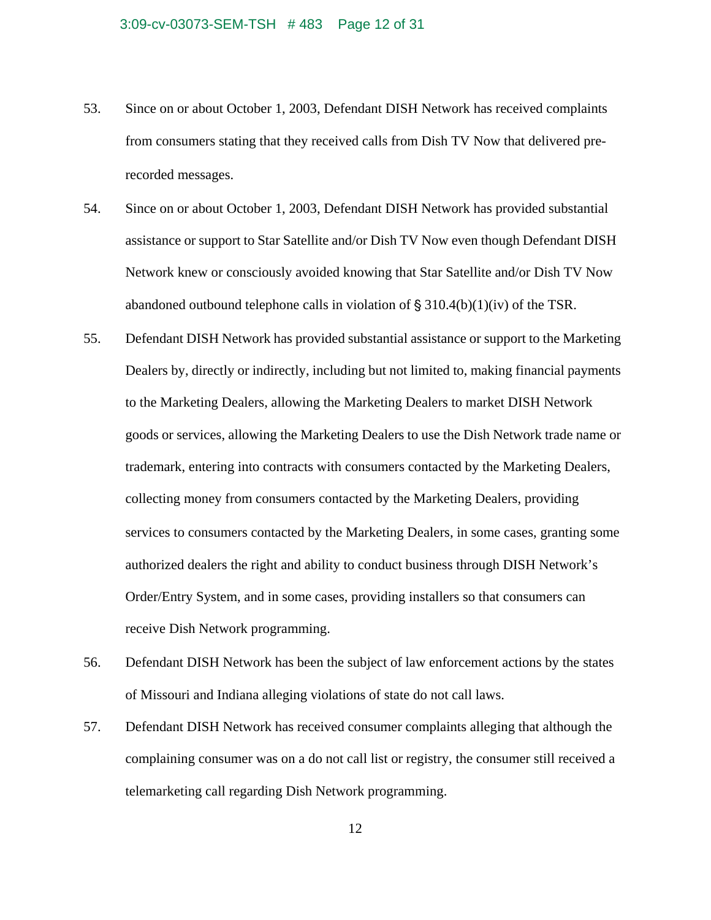#### 3:09-cv-03073-SEM-TSH # 483 Page 12 of 31

- 53. Since on or about October 1, 2003, Defendant DISH Network has received complaints from consumers stating that they received calls from Dish TV Now that delivered prerecorded messages.
- 54. Since on or about October 1, 2003, Defendant DISH Network has provided substantial assistance or support to Star Satellite and/or Dish TV Now even though Defendant DISH Network knew or consciously avoided knowing that Star Satellite and/or Dish TV Now abandoned outbound telephone calls in violation of  $\S 310.4(b)(1)(iv)$  of the TSR.
- 55. Defendant DISH Network has provided substantial assistance or support to the Marketing Dealers by, directly or indirectly, including but not limited to, making financial payments to the Marketing Dealers, allowing the Marketing Dealers to market DISH Network goods or services, allowing the Marketing Dealers to use the Dish Network trade name or trademark, entering into contracts with consumers contacted by the Marketing Dealers, collecting money from consumers contacted by the Marketing Dealers, providing services to consumers contacted by the Marketing Dealers, in some cases, granting some authorized dealers the right and ability to conduct business through DISH Network's Order/Entry System, and in some cases, providing installers so that consumers can receive Dish Network programming.
- 56. Defendant DISH Network has been the subject of law enforcement actions by the states of Missouri and Indiana alleging violations of state do not call laws.
- 57. Defendant DISH Network has received consumer complaints alleging that although the complaining consumer was on a do not call list or registry, the consumer still received a telemarketing call regarding Dish Network programming.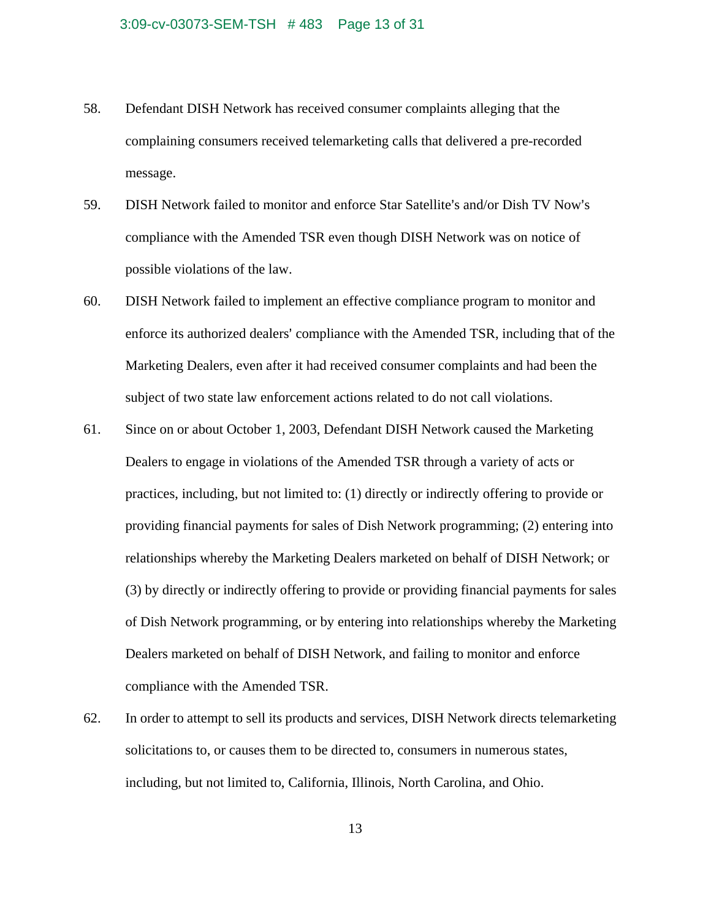#### 3:09-cv-03073-SEM-TSH # 483 Page 13 of 31

- 58. Defendant DISH Network has received consumer complaints alleging that the complaining consumers received telemarketing calls that delivered a pre-recorded message.
- 59. DISH Network failed to monitor and enforce Star Satellite's and/or Dish TV Now's compliance with the Amended TSR even though DISH Network was on notice of possible violations of the law.
- 60. DISH Network failed to implement an effective compliance program to monitor and enforce its authorized dealers' compliance with the Amended TSR, including that of the Marketing Dealers, even after it had received consumer complaints and had been the subject of two state law enforcement actions related to do not call violations.
- 61. Since on or about October 1, 2003, Defendant DISH Network caused the Marketing Dealers to engage in violations of the Amended TSR through a variety of acts or practices, including, but not limited to: (1) directly or indirectly offering to provide or providing financial payments for sales of Dish Network programming; (2) entering into relationships whereby the Marketing Dealers marketed on behalf of DISH Network; or (3) by directly or indirectly offering to provide or providing financial payments for sales of Dish Network programming, or by entering into relationships whereby the Marketing Dealers marketed on behalf of DISH Network, and failing to monitor and enforce compliance with the Amended TSR.
- 62. In order to attempt to sell its products and services, DISH Network directs telemarketing solicitations to, or causes them to be directed to, consumers in numerous states, including, but not limited to, California, Illinois, North Carolina, and Ohio.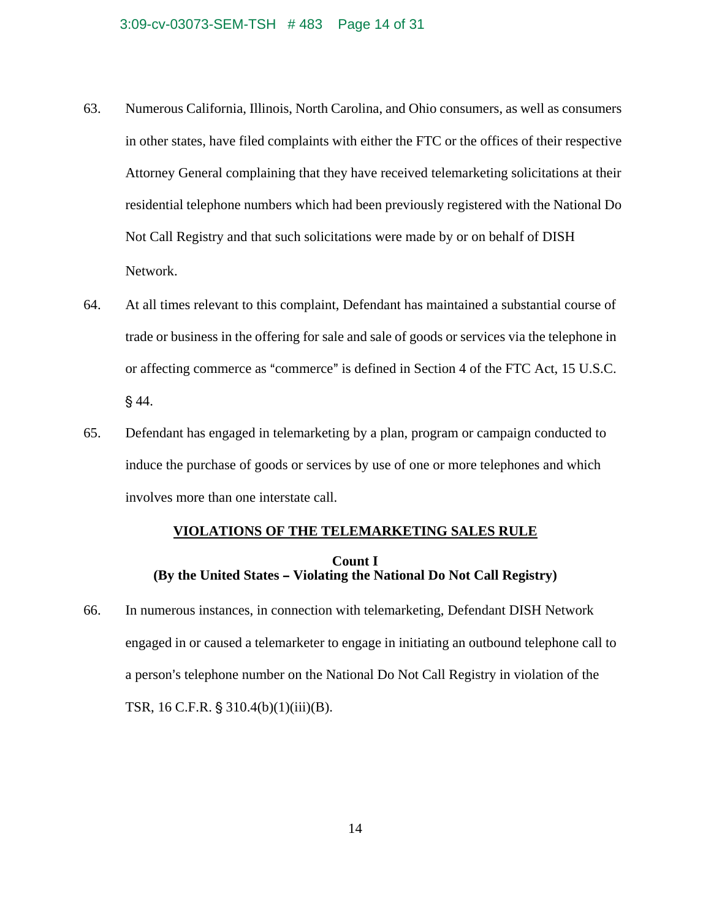#### 3:09-cv-03073-SEM-TSH # 483 Page 14 of 31

- 63. Numerous California, Illinois, North Carolina, and Ohio consumers, as well as consumers in other states, have filed complaints with either the FTC or the offices of their respective Attorney General complaining that they have received telemarketing solicitations at their residential telephone numbers which had been previously registered with the National Do Not Call Registry and that such solicitations were made by or on behalf of DISH Network.
- 64. At all times relevant to this complaint, Defendant has maintained a substantial course of trade or business in the offering for sale and sale of goods or services via the telephone in or affecting commerce as "commerce" is defined in Section 4 of the FTC Act, 15 U.S.C.  $§ 44.$
- 65. Defendant has engaged in telemarketing by a plan, program or campaign conducted to induce the purchase of goods or services by use of one or more telephones and which involves more than one interstate call.

#### **VIOLATIONS OF THE TELEMARKETING SALES RULE**

# **Count I (By the United States - Violating the National Do Not Call Registry)**

66. In numerous instances, in connection with telemarketing, Defendant DISH Network engaged in or caused a telemarketer to engage in initiating an outbound telephone call to a person's telephone number on the National Do Not Call Registry in violation of the TSR,  $16$  C.F.R.  $\S$  310.4(b)(1)(iii)(B).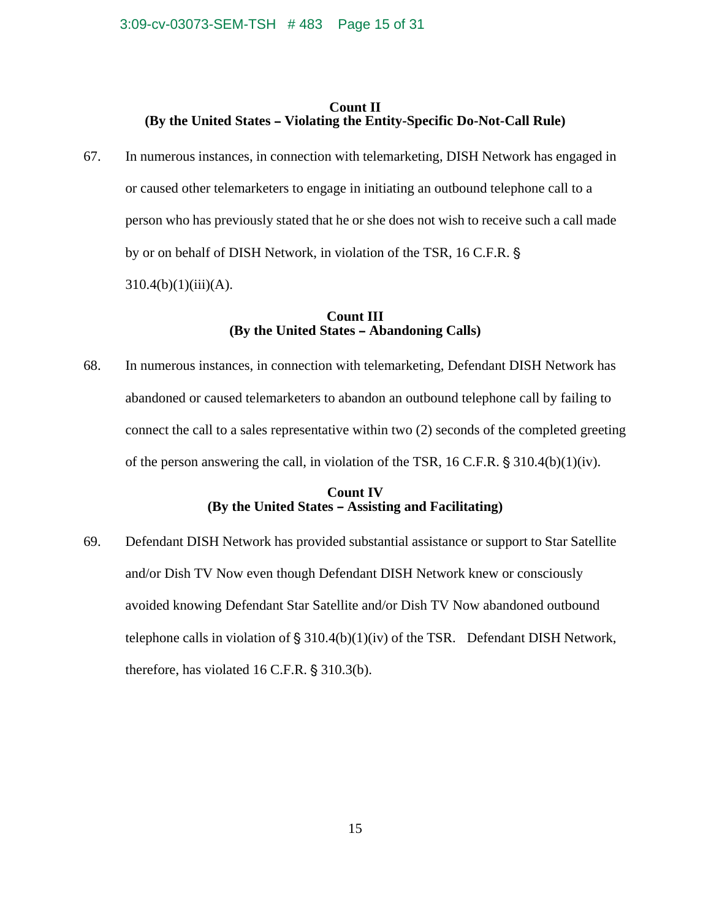# **Count II (By the United States – Violating the Entity-Specific Do-Not-Call Rule)**

67. In numerous instances, in connection with telemarketing, DISH Network has engaged in or caused other telemarketers to engage in initiating an outbound telephone call to a person who has previously stated that he or she does not wish to receive such a call made by or on behalf of DISH Network, in violation of the TSR, 16 C.F.R. §  $310.4(b)(1)(iii)(A).$ 

# **Count III (By the United States - Abandoning Calls)**

68. In numerous instances, in connection with telemarketing, Defendant DISH Network has abandoned or caused telemarketers to abandon an outbound telephone call by failing to connect the call to a sales representative within two (2) seconds of the completed greeting of the person answering the call, in violation of the TSR,  $16$  C.F.R.  $\S 310.4(b)(1)(iv)$ .

# **Count IV (By the United States – Assisting and Facilitating)**

69. Defendant DISH Network has provided substantial assistance or support to Star Satellite and/or Dish TV Now even though Defendant DISH Network knew or consciously avoided knowing Defendant Star Satellite and/or Dish TV Now abandoned outbound telephone calls in violation of  $\S 310.4(b)(1)(iv)$  of the TSR. Defendant DISH Network, therefore, has violated  $16$  C.F.R.  $\S 310.3(b)$ .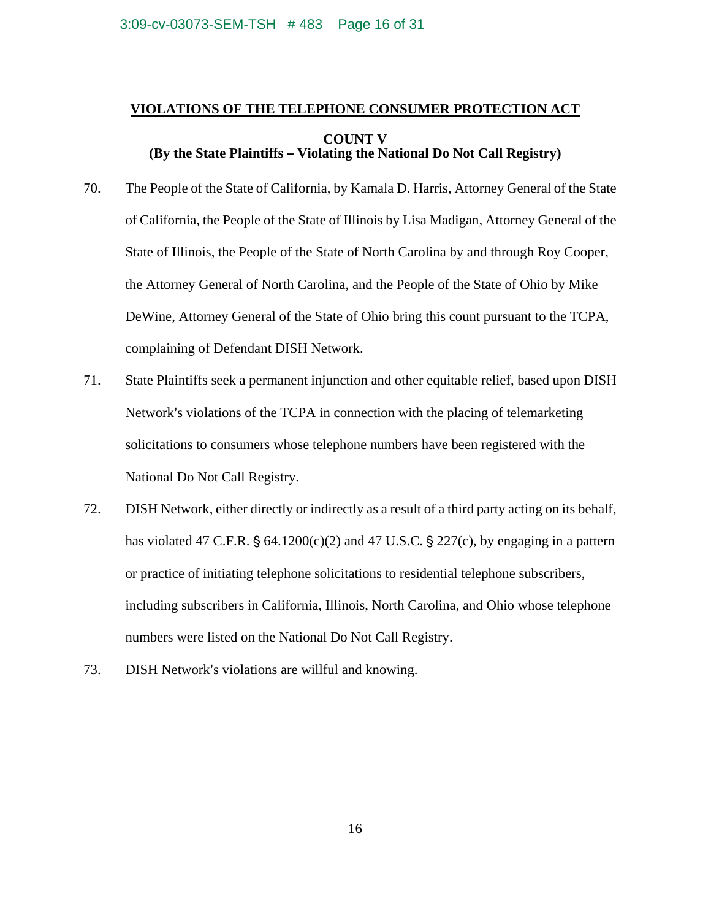#### 3:09-cv-03073-SEM-TSH # 483 Page 16 of 31

# **VIOLATIONS OF THE TELEPHONE CONSUMER PROTECTION ACT COUNT V (By the State Plaintiffs - Violating the National Do Not Call Registry)**

- 70. The People of the State of California, by Kamala D. Harris, Attorney General of the State of California, the People of the State of Illinois by Lisa Madigan, Attorney General of the State of Illinois, the People of the State of North Carolina by and through Roy Cooper, the Attorney General of North Carolina, and the People of the State of Ohio by Mike DeWine, Attorney General of the State of Ohio bring this count pursuant to the TCPA, complaining of Defendant DISH Network.
- 71. State Plaintiffs seek a permanent injunction and other equitable relief, based upon DISH Network's violations of the TCPA in connection with the placing of telemarketing solicitations to consumers whose telephone numbers have been registered with the National Do Not Call Registry.
- 72. DISH Network, either directly or indirectly as a result of a third party acting on its behalf, has violated 47 C.F.R.  $\S$  64.1200(c)(2) and 47 U.S.C.  $\S$  227(c), by engaging in a pattern or practice of initiating telephone solicitations to residential telephone subscribers, including subscribers in California, Illinois, North Carolina, and Ohio whose telephone numbers were listed on the National Do Not Call Registry.
- 73. DISH Network's violations are willful and knowing.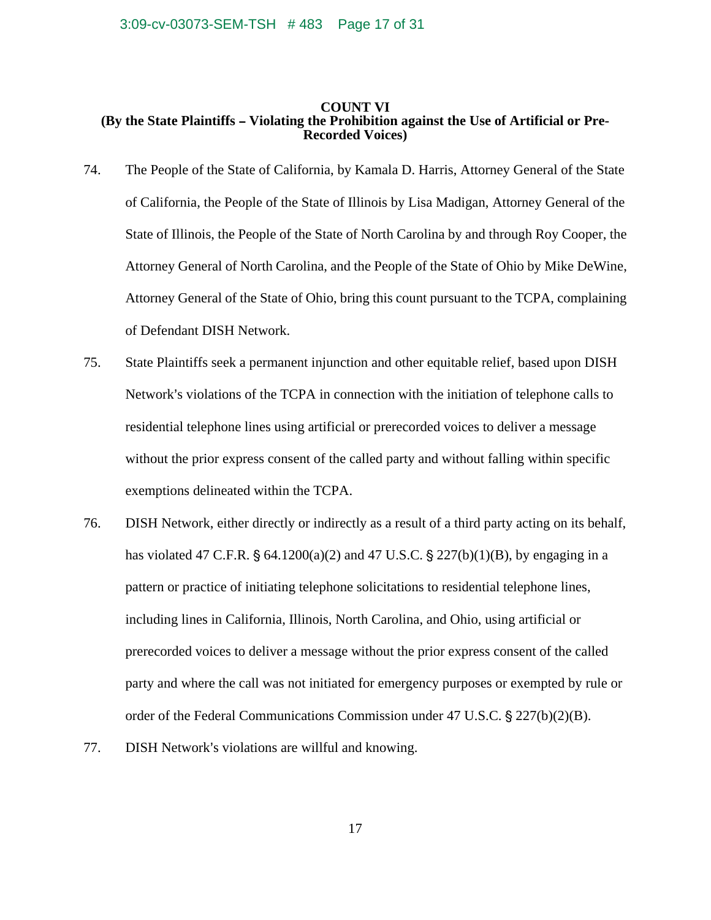#### **COUNT VI (By the State Plaintiffs – Violating the Prohibition against the Use of Artificial or Pre-Recorded Voices)**

- 74. The People of the State of California, by Kamala D. Harris, Attorney General of the State of California, the People of the State of Illinois by Lisa Madigan, Attorney General of the State of Illinois, the People of the State of North Carolina by and through Roy Cooper, the Attorney General of North Carolina, and the People of the State of Ohio by Mike DeWine, Attorney General of the State of Ohio, bring this count pursuant to the TCPA, complaining of Defendant DISH Network.
- 75. State Plaintiffs seek a permanent injunction and other equitable relief, based upon DISH Network's violations of the TCPA in connection with the initiation of telephone calls to residential telephone lines using artificial or prerecorded voices to deliver a message without the prior express consent of the called party and without falling within specific exemptions delineated within the TCPA.
- 76. DISH Network, either directly or indirectly as a result of a third party acting on its behalf, has violated 47 C.F.R.  $\S$  64.1200(a)(2) and 47 U.S.C.  $\S$  227(b)(1)(B), by engaging in a pattern or practice of initiating telephone solicitations to residential telephone lines, including lines in California, Illinois, North Carolina, and Ohio, using artificial or prerecorded voices to deliver a message without the prior express consent of the called party and where the call was not initiated for emergency purposes or exempted by rule or order of the Federal Communications Commission under 47 U.S.C.  $\frac{6}{5}$  227(b)(2)(B).
- 77. DISH Network's violations are willful and knowing.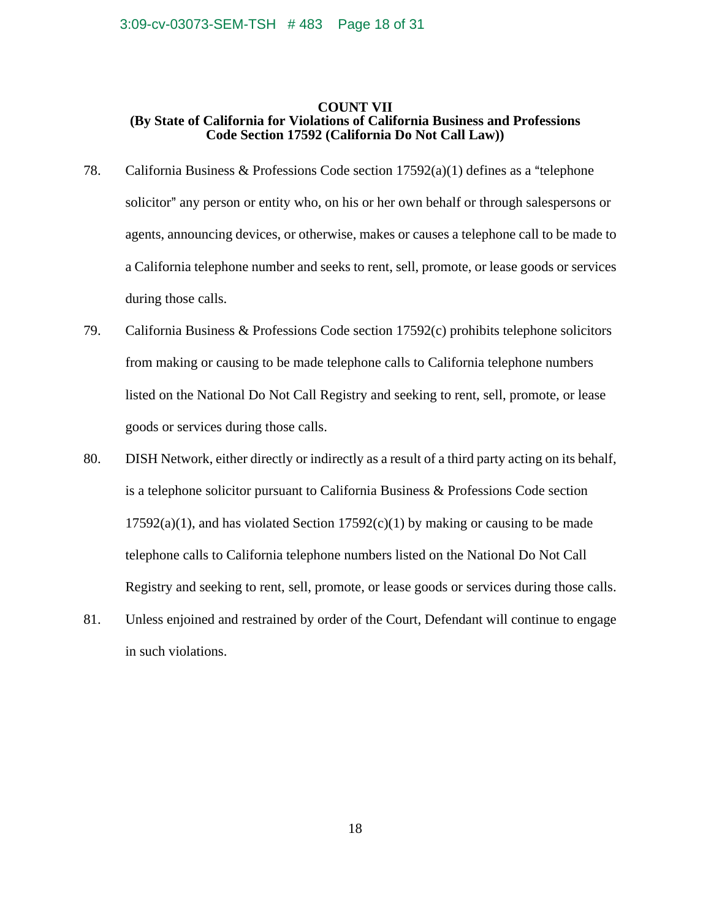#### **COUNT VII (By State of California for Violations of California Business and Professions Code Section 17592 (California Do Not Call Law))**

- 78. California Business & Professions Code section  $17592(a)(1)$  defines as a "telephone" solicitor" any person or entity who, on his or her own behalf or through salespersons or agents, announcing devices, or otherwise, makes or causes a telephone call to be made to a California telephone number and seeks to rent, sell, promote, or lease goods or services during those calls.
- 79. California Business & Professions Code section 17592(c) prohibits telephone solicitors from making or causing to be made telephone calls to California telephone numbers listed on the National Do Not Call Registry and seeking to rent, sell, promote, or lease goods or services during those calls.
- 80. DISH Network, either directly or indirectly as a result of a third party acting on its behalf, is a telephone solicitor pursuant to California Business & Professions Code section  $17592(a)(1)$ , and has violated Section  $17592(c)(1)$  by making or causing to be made telephone calls to California telephone numbers listed on the National Do Not Call Registry and seeking to rent, sell, promote, or lease goods or services during those calls.
- 81. Unless enjoined and restrained by order of the Court, Defendant will continue to engage in such violations.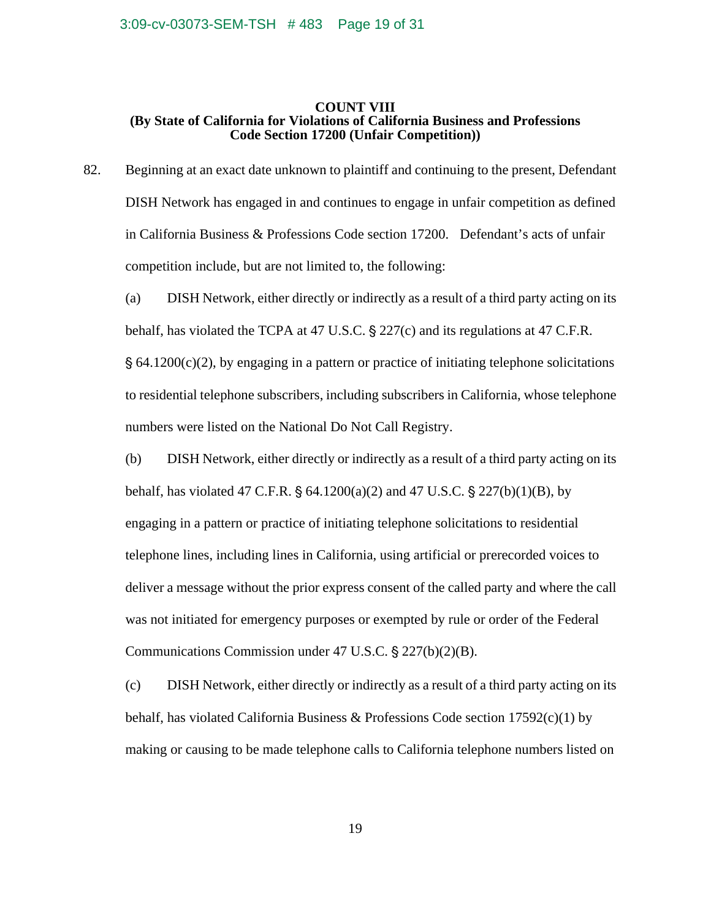#### **COUNT VIII (By State of California for Violations of California Business and Professions Code Section 17200 (Unfair Competition))**

82. Beginning at an exact date unknown to plaintiff and continuing to the present, Defendant DISH Network has engaged in and continues to engage in unfair competition as defined in California Business & Professions Code section 17200. Defendant's acts of unfair competition include, but are not limited to, the following:

 (a) DISH Network, either directly or indirectly as a result of a third party acting on its behalf, has violated the TCPA at 47 U.S.C.  $\S 227(c)$  and its regulations at 47 C.F.R.  $\S$  64.1200(c)(2), by engaging in a pattern or practice of initiating telephone solicitations to residential telephone subscribers, including subscribers in California, whose telephone numbers were listed on the National Do Not Call Registry.

 (b) DISH Network, either directly or indirectly as a result of a third party acting on its behalf, has violated 47 C.F.R.  $\S$  64.1200(a)(2) and 47 U.S.C.  $\S$  227(b)(1)(B), by engaging in a pattern or practice of initiating telephone solicitations to residential telephone lines, including lines in California, using artificial or prerecorded voices to deliver a message without the prior express consent of the called party and where the call was not initiated for emergency purposes or exempted by rule or order of the Federal Communications Commission under 47 U.S.C.  $\S 227(b)(2)(B)$ .

 (c) DISH Network, either directly or indirectly as a result of a third party acting on its behalf, has violated California Business & Professions Code section  $17592(c)(1)$  by making or causing to be made telephone calls to California telephone numbers listed on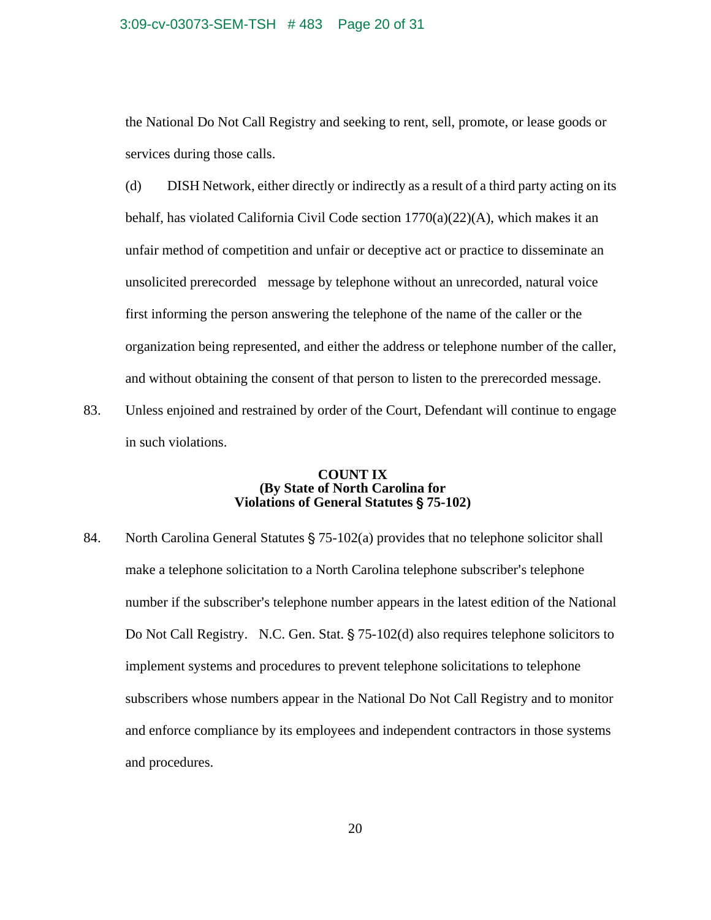#### 3:09-cv-03073-SEM-TSH # 483 Page 20 of 31

the National Do Not Call Registry and seeking to rent, sell, promote, or lease goods or services during those calls.

 (d) DISH Network, either directly or indirectly as a result of a third party acting on its behalf, has violated California Civil Code section  $1770(a)(22)(A)$ , which makes it an unfair method of competition and unfair or deceptive act or practice to disseminate an unsolicited prerecorded message by telephone without an unrecorded, natural voice first informing the person answering the telephone of the name of the caller or the organization being represented, and either the address or telephone number of the caller, and without obtaining the consent of that person to listen to the prerecorded message.

83. Unless enjoined and restrained by order of the Court, Defendant will continue to engage in such violations.

## **COUNT IX (By State of North Carolina for Violations of General Statutes** ' **75-102)**

84. North Carolina General Statutes  $\S$  75-102(a) provides that no telephone solicitor shall make a telephone solicitation to a North Carolina telephone subscriber's telephone number if the subscriber's telephone number appears in the latest edition of the National Do Not Call Registry. N.C. Gen. Stat.  $\S$  75-102(d) also requires telephone solicitors to implement systems and procedures to prevent telephone solicitations to telephone subscribers whose numbers appear in the National Do Not Call Registry and to monitor and enforce compliance by its employees and independent contractors in those systems and procedures.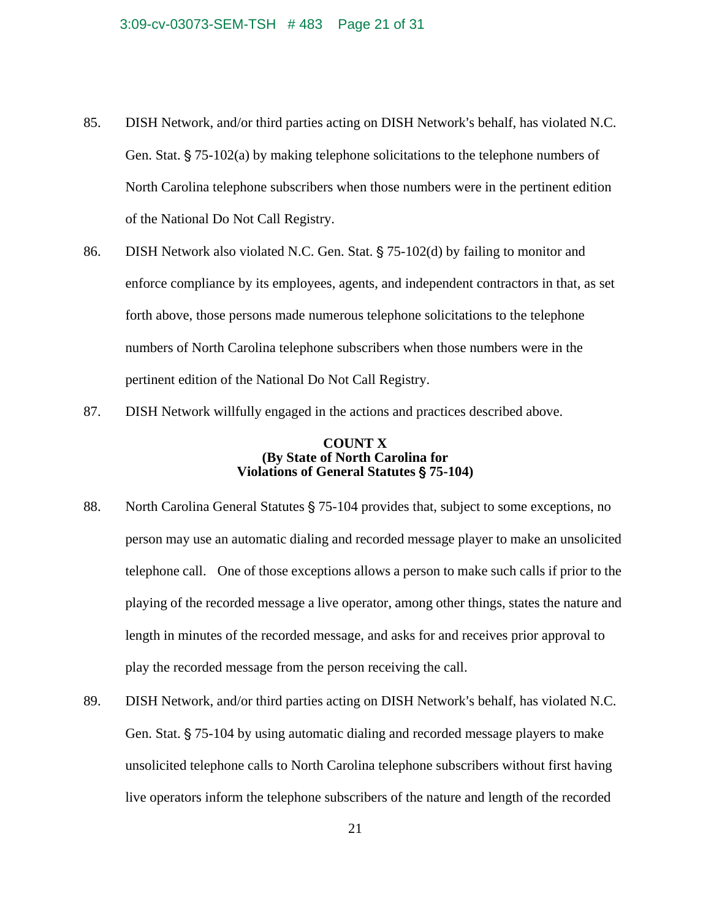- 85. DISH Network, and/or third parties acting on DISH Network's behalf, has violated N.C. Gen. Stat.  $\S$  75-102(a) by making telephone solicitations to the telephone numbers of North Carolina telephone subscribers when those numbers were in the pertinent edition of the National Do Not Call Registry.
- 86. DISH Network also violated N.C. Gen. Stat.  $\S$  75-102(d) by failing to monitor and enforce compliance by its employees, agents, and independent contractors in that, as set forth above, those persons made numerous telephone solicitations to the telephone numbers of North Carolina telephone subscribers when those numbers were in the pertinent edition of the National Do Not Call Registry.
- 87. DISH Network willfully engaged in the actions and practices described above.

## **COUNT X (By State of North Carolina for Violations of General Statutes** ' **75-104)**

- 88. North Carolina General Statutes § 75-104 provides that, subject to some exceptions, no person may use an automatic dialing and recorded message player to make an unsolicited telephone call. One of those exceptions allows a person to make such calls if prior to the playing of the recorded message a live operator, among other things, states the nature and length in minutes of the recorded message, and asks for and receives prior approval to play the recorded message from the person receiving the call.
- 89. DISH Network, and/or third parties acting on DISH Network's behalf, has violated N.C. Gen. Stat.  $\S 75$ -104 by using automatic dialing and recorded message players to make unsolicited telephone calls to North Carolina telephone subscribers without first having live operators inform the telephone subscribers of the nature and length of the recorded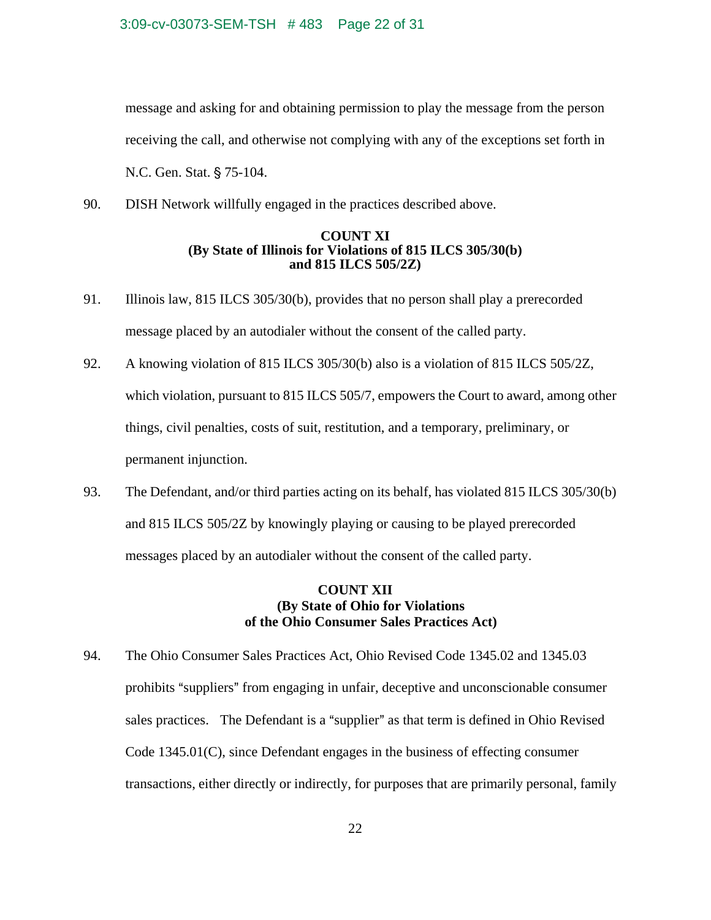#### 3:09-cv-03073-SEM-TSH # 483 Page 22 of 31

message and asking for and obtaining permission to play the message from the person receiving the call, and otherwise not complying with any of the exceptions set forth in N.C. Gen. Stat. § 75-104.

90. DISH Network willfully engaged in the practices described above.

# **COUNT XI (By State of Illinois for Violations of 815 ILCS 305/30(b) and 815 ILCS 505/2Z)**

- 91. Illinois law, 815 ILCS 305/30(b), provides that no person shall play a prerecorded message placed by an autodialer without the consent of the called party.
- 92. A knowing violation of 815 ILCS 305/30(b) also is a violation of 815 ILCS 505/2Z, which violation, pursuant to 815 ILCS 505/7, empowers the Court to award, among other things, civil penalties, costs of suit, restitution, and a temporary, preliminary, or permanent injunction.
- 93. The Defendant, and/or third parties acting on its behalf, has violated 815 ILCS 305/30(b) and 815 ILCS 505/2Z by knowingly playing or causing to be played prerecorded messages placed by an autodialer without the consent of the called party.

# **COUNT XII (By State of Ohio for Violations of the Ohio Consumer Sales Practices Act)**

94. The Ohio Consumer Sales Practices Act, Ohio Revised Code 1345.02 and 1345.03 prohibits "suppliers" from engaging in unfair, deceptive and unconscionable consumer sales practices. The Defendant is a "supplier" as that term is defined in Ohio Revised Code 1345.01(C), since Defendant engages in the business of effecting consumer transactions, either directly or indirectly, for purposes that are primarily personal, family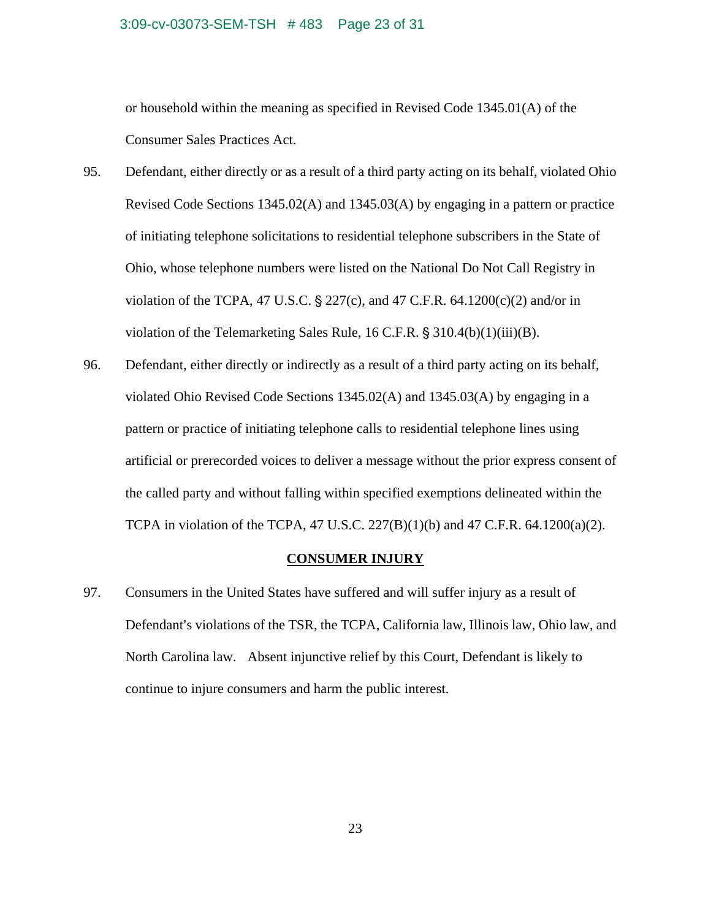#### 3:09-cv-03073-SEM-TSH # 483 Page 23 of 31

or household within the meaning as specified in Revised Code 1345.01(A) of the Consumer Sales Practices Act.

- 95. Defendant, either directly or as a result of a third party acting on its behalf, violated Ohio Revised Code Sections 1345.02(A) and 1345.03(A) by engaging in a pattern or practice of initiating telephone solicitations to residential telephone subscribers in the State of Ohio, whose telephone numbers were listed on the National Do Not Call Registry in violation of the TCPA, 47 U.S.C.  $\S 227(c)$ , and 47 C.F.R. 64.1200(c)(2) and/or in violation of the Telemarketing Sales Rule, 16 C.F.R.  $\S 310.4(b)(1)(iii)(B)$ .
- 96. Defendant, either directly or indirectly as a result of a third party acting on its behalf, violated Ohio Revised Code Sections 1345.02(A) and 1345.03(A) by engaging in a pattern or practice of initiating telephone calls to residential telephone lines using artificial or prerecorded voices to deliver a message without the prior express consent of the called party and without falling within specified exemptions delineated within the TCPA in violation of the TCPA, 47 U.S.C.  $227(B)(1)(b)$  and 47 C.F.R. 64.1200(a)(2).

# **CONSUMER INJURY**

97. Consumers in the United States have suffered and will suffer injury as a result of Defendant's violations of the TSR, the TCPA, California law, Illinois law, Ohio law, and North Carolina law. Absent injunctive relief by this Court, Defendant is likely to continue to injure consumers and harm the public interest.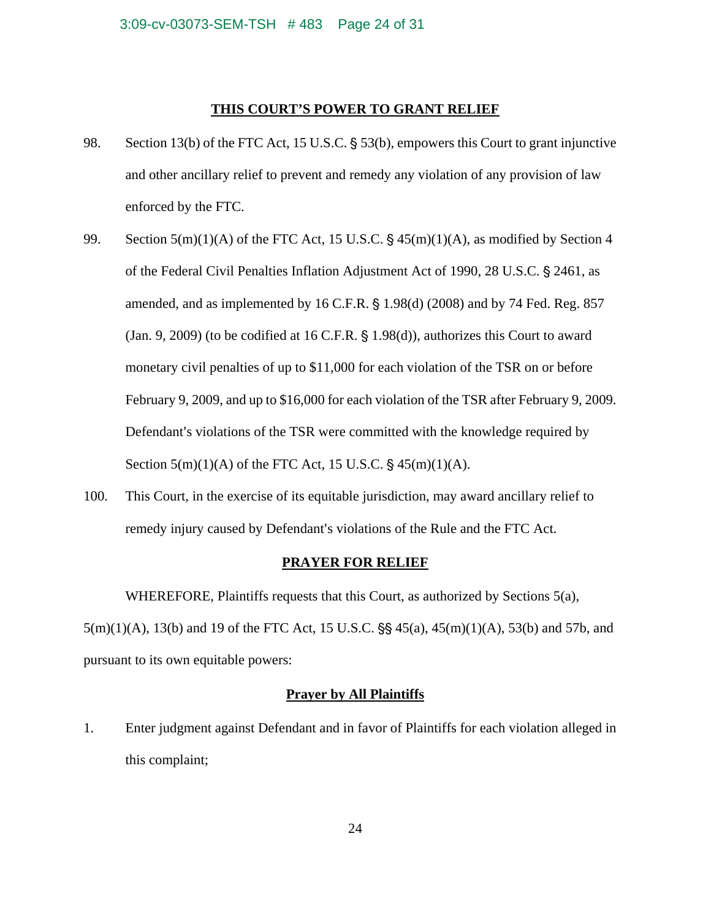## **THIS COURT'S POWER TO GRANT RELIEF**

- 98. Section 13(b) of the FTC Act, 15 U.S.C.  $\S$  53(b), empowers this Court to grant injunctive and other ancillary relief to prevent and remedy any violation of any provision of law enforced by the FTC.
- 99. Section  $5(m)(1)(A)$  of the FTC Act, 15 U.S.C. §  $45(m)(1)(A)$ , as modified by Section 4 of the Federal Civil Penalties Inflation Adjustment Act of 1990, 28 U.S.C. § 2461, as amended, and as implemented by  $16$  C.F.R.  $\S$  1.98(d) (2008) and by 74 Fed. Reg. 857 (Jan. 9, 2009) (to be codified at 16 C.F.R.  $\S$  1.98(d)), authorizes this Court to award monetary civil penalties of up to \$11,000 for each violation of the TSR on or before February 9, 2009, and up to \$16,000 for each violation of the TSR after February 9, 2009. Defendant's violations of the TSR were committed with the knowledge required by Section  $5(m)(1)(A)$  of the FTC Act, 15 U.S.C. §  $45(m)(1)(A)$ .
- 100. This Court, in the exercise of its equitable jurisdiction, may award ancillary relief to remedy injury caused by Defendant's violations of the Rule and the FTC Act.

# **PRAYER FOR RELIEF**

WHEREFORE, Plaintiffs requests that this Court, as authorized by Sections 5(a),  $5(m)(1)(A)$ , 13(b) and 19 of the FTC Act, 15 U.S.C.  $\S$  45(a), 45(m)(1)(A), 53(b) and 57b, and pursuant to its own equitable powers:

# **Prayer by All Plaintiffs**

1. Enter judgment against Defendant and in favor of Plaintiffs for each violation alleged in this complaint;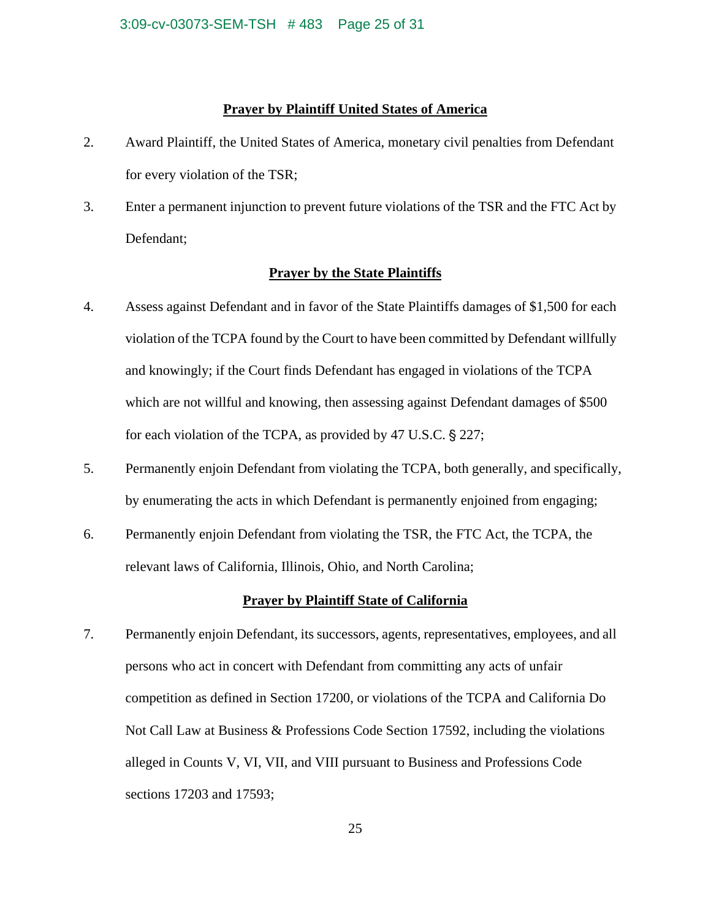# **Prayer by Plaintiff United States of America**

- 2. Award Plaintiff, the United States of America, monetary civil penalties from Defendant for every violation of the TSR;
- 3. Enter a permanent injunction to prevent future violations of the TSR and the FTC Act by Defendant;

#### **Prayer by the State Plaintiffs**

- 4. Assess against Defendant and in favor of the State Plaintiffs damages of \$1,500 for each violation of the TCPA found by the Court to have been committed by Defendant willfully and knowingly; if the Court finds Defendant has engaged in violations of the TCPA which are not willful and knowing, then assessing against Defendant damages of \$500 for each violation of the TCPA, as provided by  $47 \text{ U.S.C.}$  § 227;
- 5. Permanently enjoin Defendant from violating the TCPA, both generally, and specifically, by enumerating the acts in which Defendant is permanently enjoined from engaging;
- 6. Permanently enjoin Defendant from violating the TSR, the FTC Act, the TCPA, the relevant laws of California, Illinois, Ohio, and North Carolina;

# **Prayer by Plaintiff State of California**

7. Permanently enjoin Defendant, its successors, agents, representatives, employees, and all persons who act in concert with Defendant from committing any acts of unfair competition as defined in Section 17200, or violations of the TCPA and California Do Not Call Law at Business & Professions Code Section 17592, including the violations alleged in Counts V, VI, VII, and VIII pursuant to Business and Professions Code sections 17203 and 17593;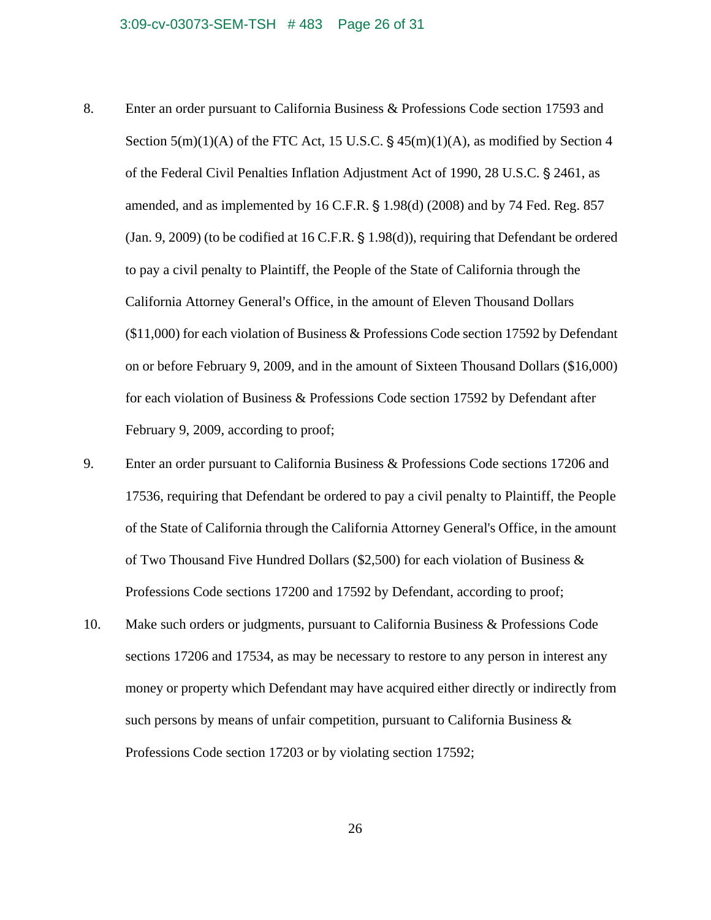- 8. Enter an order pursuant to California Business & Professions Code section 17593 and Section  $5(m)(1)(A)$  of the FTC Act, 15 U.S.C.  $\S$  45(m)(1)(A), as modified by Section 4 of the Federal Civil Penalties Inflation Adjustment Act of 1990, 28 U.S.C. § 2461, as amended, and as implemented by  $16$  C.F.R.  $\S$  1.98(d) (2008) and by 74 Fed. Reg. 857  $(Jan. 9, 2009)$  (to be codified at 16 C.F.R. § 1.98 $(d)$ ), requiring that Defendant be ordered to pay a civil penalty to Plaintiff, the People of the State of California through the California Attorney General's Office, in the amount of Eleven Thousand Dollars (\$11,000) for each violation of Business & Professions Code section 17592 by Defendant on or before February 9, 2009, and in the amount of Sixteen Thousand Dollars (\$16,000) for each violation of Business & Professions Code section 17592 by Defendant after February 9, 2009, according to proof;
- 9. Enter an order pursuant to California Business & Professions Code sections 17206 and 17536, requiring that Defendant be ordered to pay a civil penalty to Plaintiff, the People of the State of California through the California Attorney General's Office, in the amount of Two Thousand Five Hundred Dollars (\$2,500) for each violation of Business & Professions Code sections 17200 and 17592 by Defendant, according to proof;
- 10. Make such orders or judgments, pursuant to California Business & Professions Code sections 17206 and 17534, as may be necessary to restore to any person in interest any money or property which Defendant may have acquired either directly or indirectly from such persons by means of unfair competition, pursuant to California Business  $\&$ Professions Code section 17203 or by violating section 17592;

26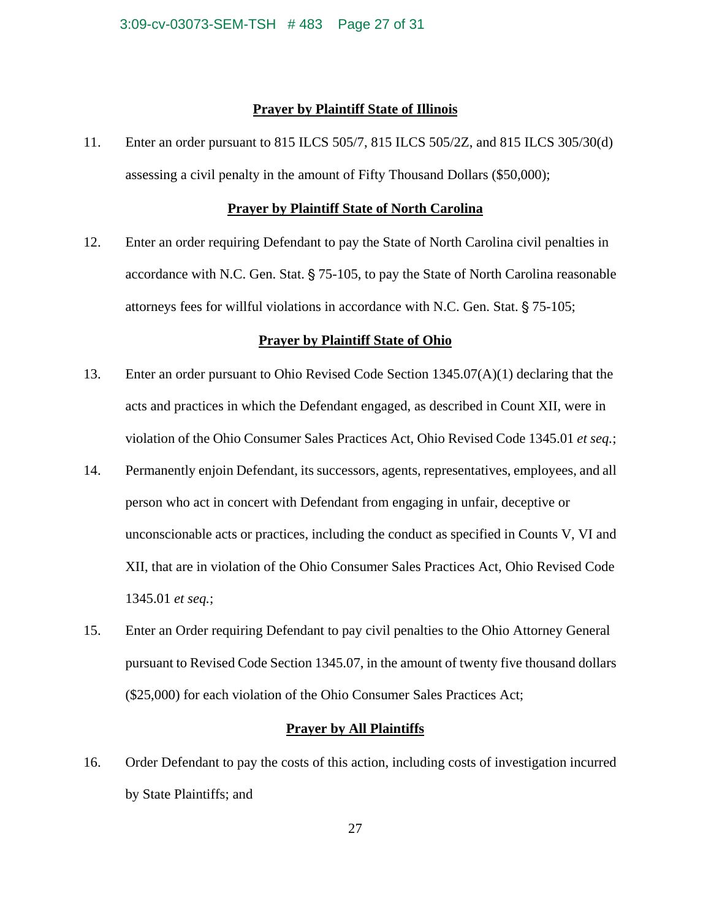#### **Prayer by Plaintiff State of Illinois**

11. Enter an order pursuant to 815 ILCS 505/7, 815 ILCS 505/2Z, and 815 ILCS 305/30(d) assessing a civil penalty in the amount of Fifty Thousand Dollars (\$50,000);

## **Prayer by Plaintiff State of North Carolina**

12. Enter an order requiring Defendant to pay the State of North Carolina civil penalties in accordance with N.C. Gen. Stat.  $\S$  75-105, to pay the State of North Carolina reasonable attorneys fees for willful violations in accordance with N.C. Gen. Stat.  $\S 75$ -105;

#### **Prayer by Plaintiff State of Ohio**

- 13. Enter an order pursuant to Ohio Revised Code Section 1345.07(A)(1) declaring that the acts and practices in which the Defendant engaged, as described in Count XII, were in violation of the Ohio Consumer Sales Practices Act, Ohio Revised Code 1345.01 *et seq.*;
- 14. Permanently enjoin Defendant, its successors, agents, representatives, employees, and all person who act in concert with Defendant from engaging in unfair, deceptive or unconscionable acts or practices, including the conduct as specified in Counts V, VI and XII, that are in violation of the Ohio Consumer Sales Practices Act, Ohio Revised Code 1345.01 *et seq.*;
- 15. Enter an Order requiring Defendant to pay civil penalties to the Ohio Attorney General pursuant to Revised Code Section 1345.07, in the amount of twenty five thousand dollars (\$25,000) for each violation of the Ohio Consumer Sales Practices Act;

#### **Prayer by All Plaintiffs**

16. Order Defendant to pay the costs of this action, including costs of investigation incurred by State Plaintiffs; and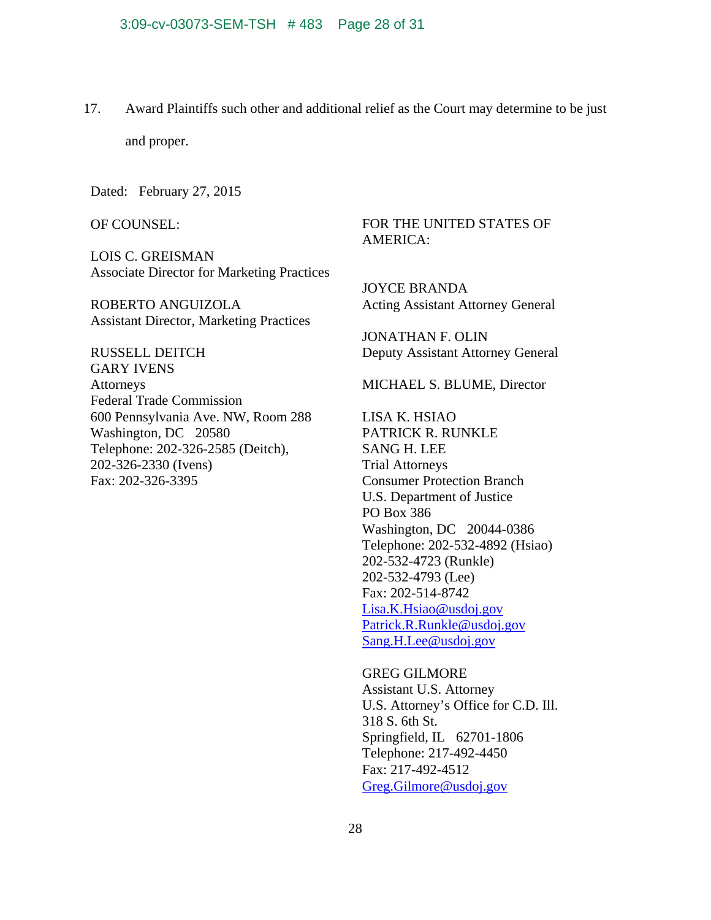17. Award Plaintiffs such other and additional relief as the Court may determine to be just

and proper.

Dated: February 27, 2015

OF COUNSEL:

LOIS C. GREISMAN Associate Director for Marketing Practices

ROBERTO ANGUIZOLA Assistant Director, Marketing Practices

RUSSELL DEITCH GARY IVENS **Attorneys** Federal Trade Commission 600 Pennsylvania Ave. NW, Room 288 Washington, DC 20580 Telephone: 202-326-2585 (Deitch), 202-326-2330 (Ivens) Fax: 202-326-3395

# FOR THE UNITED STATES OF AMERICA:

JOYCE BRANDA Acting Assistant Attorney General

JONATHAN F. OLIN Deputy Assistant Attorney General

MICHAEL S. BLUME, Director

LISA K. HSIAO PATRICK R. RUNKLE SANG H. LEE Trial Attorneys Consumer Protection Branch U.S. Department of Justice PO Box 386 Washington, DC 20044-0386 Telephone: 202-532-4892 (Hsiao) 202-532-4723 (Runkle) 202-532-4793 (Lee) Fax: 202-514-8742 Lisa.K.Hsiao@usdoj.gov Patrick.R.Runkle@usdoj.gov Sang.H.Lee@usdoj.gov

GREG GILMORE Assistant U.S. Attorney U.S. Attorney's Office for C.D. Ill. 318 S. 6th St. Springfield, IL 62701-1806 Telephone: 217-492-4450 Fax: 217-492-4512 Greg.Gilmore@usdoj.gov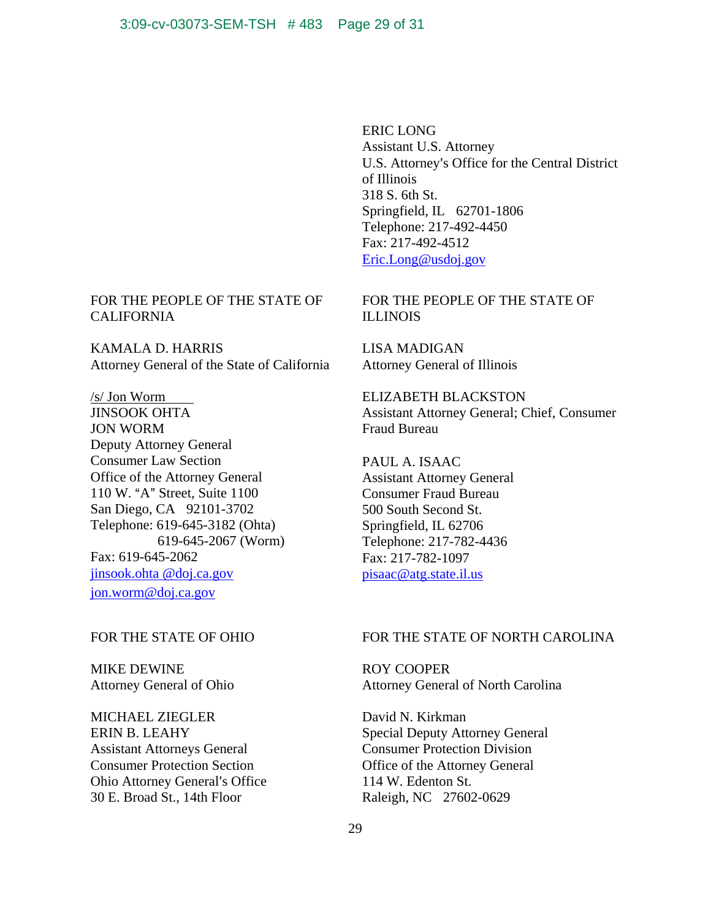ERIC LONG Assistant U.S. Attorney U.S. Attorney's Office for the Central District of Illinois 318 S. 6th St. Springfield, IL 62701-1806 Telephone: 217-492-4450 Fax: 217-492-4512 Eric.Long@usdoj.gov

FOR THE PEOPLE OF THE STATE OF ILLINOIS

LISA MADIGAN Attorney General of Illinois

ELIZABETH BLACKSTON Assistant Attorney General; Chief, Consumer Fraud Bureau

PAUL A. ISAAC Assistant Attorney General Consumer Fraud Bureau 500 South Second St. Springfield, IL 62706 Telephone: 217-782-4436 Fax: 217-782-1097 pisaac@atg.state.il.us

#### FOR THE STATE OF NORTH CAROLINA

ROY COOPER Attorney General of North Carolina

David N. Kirkman Special Deputy Attorney General Consumer Protection Division Office of the Attorney General 114 W. Edenton St. Raleigh, NC 27602-0629

# FOR THE PEOPLE OF THE STATE OF CALIFORNIA

KAMALA D. HARRIS Attorney General of the State of California

/s/ Jon Worm JINSOOK OHTA JON WORM Deputy Attorney General Consumer Law Section Office of the Attorney General 110 W. "A" Street, Suite 1100 San Diego, CA 92101-3702 Telephone: 619-645-3182 (Ohta) 619-645-2067 (Worm) Fax: 619-645-2062 jinsook.ohta @doj.ca.gov jon.worm@doj.ca.gov

# FOR THE STATE OF OHIO

MIKE DEWINE Attorney General of Ohio

MICHAEL ZIEGLER ERIN B. LEAHY Assistant Attorneys General Consumer Protection Section Ohio Attorney General's Office 30 E. Broad St., 14th Floor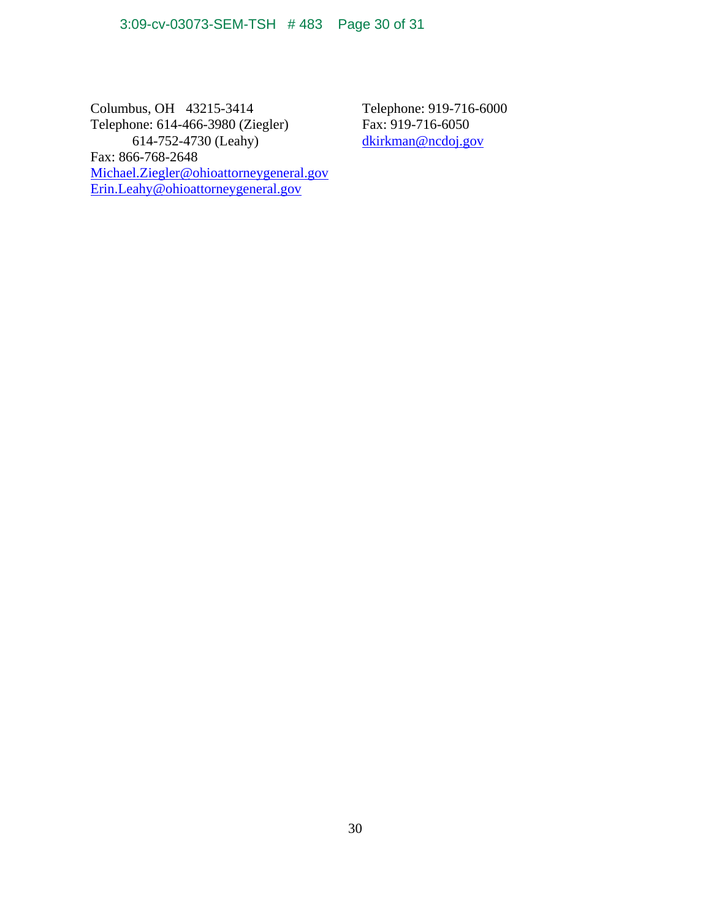Columbus, OH 43215-3414 Telephone: 614-466-3980 (Ziegler) 614-752-4730 (Leahy) Fax: 866-768-2648 Michael.Ziegler@ohioattorneygeneral.gov Erin.Leahy@ohioattorneygeneral.gov

Telephone: 919-716-6000 Fax: 919-716-6050 dkirkman@ncdoj.gov